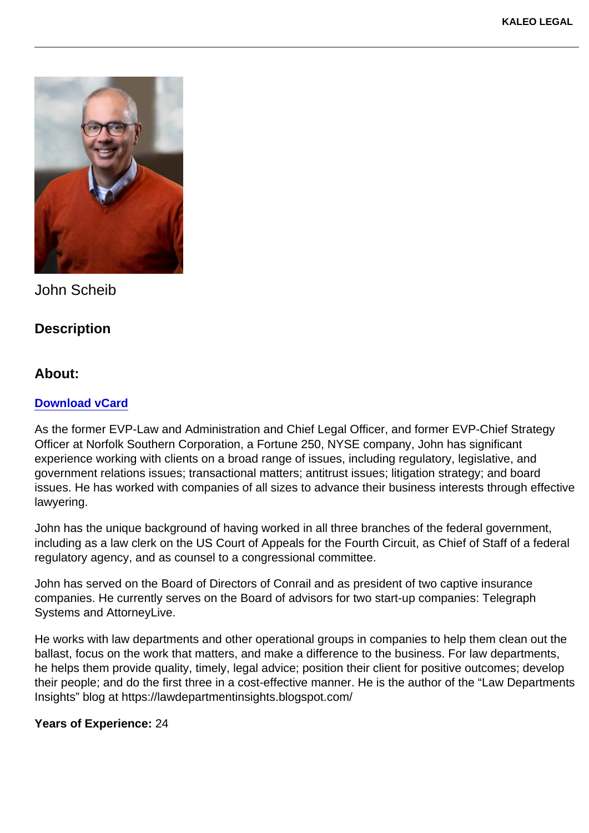John Scheib

**Description** 

About:

[Download vCard](https://kaleolegal.com/wp-content/uploads/2022/06/John-Scheib.vcf)

As the former EVP-Law and Administration and Chief Legal Officer, and former EVP-Chief Strategy Officer at Norfolk Southern Corporation, a Fortune 250, NYSE company, John has significant experience working with clients on a broad range of issues, including regulatory, legislative, and government relations issues; transactional matters; antitrust issues; litigation strategy; and board issues. He has worked with companies of all sizes to advance their business interests through effective lawyering.

John has the unique background of having worked in all three branches of the federal government, including as a law clerk on the US Court of Appeals for the Fourth Circuit, as Chief of Staff of a federal regulatory agency, and as counsel to a congressional committee.

John has served on the Board of Directors of Conrail and as president of two captive insurance companies. He currently serves on the Board of advisors for two start-up companies: Telegraph Systems and AttorneyLive.

He works with law departments and other operational groups in companies to help them clean out the ballast, focus on the work that matters, and make a difference to the business. For law departments, he helps them provide quality, timely, legal advice; position their client for positive outcomes; develop their people; and do the first three in a cost-effective manner. He is the author of the "Law Departments Insights" blog at https://lawdepartmentinsights.blogspot.com/

Years of Experience: 24